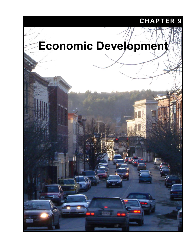## **CHAPTER 9**

# **Economic Development**

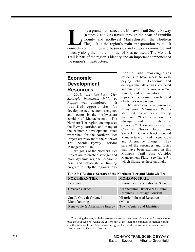ike a grand main street, the Mohawk Trail Scenic Byway (Routes 2 and 2A) travels through the heart of Franklin County and northwest Massachusetts (the Northern Tier). It is the region's main transportation route. It ike a grand main street, the Mohawk Trail Scenic Byway (Routes 2 and 2A) travels through the heart of Franklin County and northwest Massachusetts (the Northern Tier). It is the region's main transportation route. It connec industry along the northern border of Massachusetts. The Mohawk Trail is part of the region's identity and an important component of the region's infrastructure.

## **Economic Development Resources**

In 2004, the *Northern Tier Strategic Investment Initiatives Report* was completed. It identified opportunities for developing new economic engines and sectors in the northwestern corridor of Massachusetts. The Northern Tier region encompasses the Byway corridor, and many of the economic development issues researched for the Northern Tier Project are relevant to the Mohawk Trail Scenic Byway Corridor Management Plan.<sup>1</sup>

Two goals of the Northern Tier Project are to create a stronger and more dynamic regional economic base and establish a training program to help the region's lowincome and working-class residents to have access to wellpaying jobs. Economic and demographic data was collected and analyzed in the *Northern Tier Report*, and an inventory of the region's economic assets and challenges was prepared.

The *Northern Tier Strategic Investment Initiatives Report*  identified four sectors to develop that could "lead the region to a stronger and more dynamic economy." These sectors are: the Creative Cluster; Ecotourism; Small, Growth-Oriented Manufacturing; and Renewable and Alternative Energy. They parallel the resources and topics that have been examined in this Mohawk Trail East Corridor Management Plan. See Table 9-1 which illustrates these parallels.

| <b>NORTHERN TIER</b>                    | <b>MOHAWK TRAIL</b>                                                |
|-----------------------------------------|--------------------------------------------------------------------|
| Ecotourism                              | Environment, Recreation & Scenery                                  |
| <b>Creative Cluster</b>                 | Architectural, Historic & Cultural<br>Resources – Heritage Tourism |
| Small, Growth-Oriented<br>Manufacturing | <b>Historic Industrial Resources</b><br>(Mills)                    |
| Renewable & Alternative Energy          | Town Centers and Identities                                        |

**Table 9-1 Business Sectors of the Northern Tier and Mohawk Trail** 

<sup>1.</sup> To varying degrees, both the eastern and western sections of the entire Byway encompass the four sectors. Along the eastern part of the Trail, the emphasis is Manufacturing and the Renewable and Alternative Energy sectors, while the western portion stresses Ecotourism and Creative Clusters.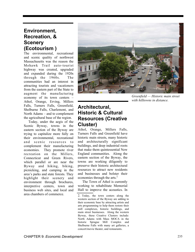## **Environment, Recreation, & Scenery (Ecotourism )**

The environmental, recreational and scenic quality of northwest Massachusetts was the reason the Mohawk Trail auto-tourist highway was created, upgraded and expanded during the 1920s through the 1960s. The communities had an interest in attracting tourists and vacationers from the eastern part of the State to augment the manufacturing economy of its town centers – Athol, Orange, Erving, Millers Falls, Turners Falls, Greenfield, Shelburne Falls, Charlemont, and North Adams – and to complement the agricultural base of the region.

Today, under the aegis of the Scenic Byway, towns in the eastern section of the Byway are trying to capitalize more fully on their environmental, recreational and scenic resources to complement their manufacturing economies. They promote river recreation on the Millers, Connecticut and Green Rivers, which parallel or are near the Byway and hiking, biking, picnicking, and camping in the area's parks and state forests. They highlight their scenery and environment through brochures, interpretive centers, town and business web sites, and local and area chambers of commerce.



*Greenfield — Historic main street with hilltowns in distance.* 

## **Architectural, Historic & Cultural Resources (Creative Cluster)**

Athol, Orange, Millers Falls, Turners Falls and Greenfield have historic main streets, many historic and architecturally significant buildings, and deep industrial roots that make them quintessential New England communities. Along the eastern section of the Byway, the towns are working diligently to preserve their historic architectural resources to attract new residents and businesses and bolster their economies through the arts.<sup>2</sup>

The Town of Athol is currently working to rehabilitate Memorial Hall to improve the acoustics. In

<sup>2.</sup> Today, the town centers along the western section of the Byway are adding to their economic base by attracting artists and arts programming to help them restore their mill complexes, historic buildings, and main street businesses. Along the western Byway, these Creative Clusters include: North Adams with Mass MOCA in the historic Sprague Mill Complex and Shelburne Falls with many art galleries, a concert/movie theater, and restaurants.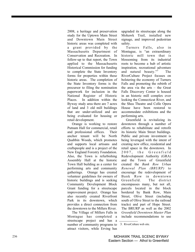2008, a heritage and preservation study for the Uptown Main Street and Downtown Main Street historic areas was completed with a grant provided by the Massachusetts Department of Conservation and Recreation. In follow-up to that report, the Town applied to the Massachusetts Historical Commission for funding to complete the State Inventory forms for properties within these historic areas. The completion of the State Inventory forms is the precursor to filing the nomination paperwork for inclusion in the National Register of Historic Places. In addition within the Byway study area there are 7 acres of land and 3 old mill buildings that are under-utilized and are being evaluated for housing or retail development.

Orange is working to restore Putnam Hall for commercial, retail and professional offices. Their anchor tenant will be North Quabbin Woods, which promotes and supports local artisans and craftspeople and is a project of the New England Forestry Foundation. Also, the Town is refurbishing Assembly Hall at the historic Town Hall building as a center for performing arts and community gatherings. Orange has created volunteer guidelines for owners of historic buildings and is seeking Community Development Block Grant funding for a streetscape improvement project. Orange has also recently created Riverfront Park in its downtown, which provides a direct connection from the downtown to the Millers River.

The Village of Millers Falls in Montague has completed a streetscape project and has a number of community programs to attract visitors, while Erving has upgraded its streetscape along the Mohawk Trail, installed new signage, and improved pedestrian safety.

Turners Falls, also in Montague, is "an extraordinary historic mill town that is blossoming from its industrial roots to become a hub of artistic inspiration, recreational adventure and natural beauty."<sup>3</sup> The RiverCulture Project focuses on bolstering the economy of Turners Falls and promoting the rebirth of the area via the arts – the Great Falls Discovery Center is housed in an historic mill complex over looking the Connecticut River, and the Shea Theatre and Colle Opera House have been restored to accommodate exhibitions and the performing arts.

Greenfield is revitalizing its downtown through a number of efforts to rehabilitate and retrofit its historic Main Street buildings. Public and private investment is being leveraged with the intent of creating new office, residential and retail space in the downtown. In 2007, the Greenfield Redevelopment Authority (GRA) and the Town of Greenfield created the *Bank Row Urban Renewal Plan (BRURP)* to encourage the redevelopment of Bank Row in downtown Greenfield. The district encompasses many, but not all, parcels located in the block bordered by Bank Row, Main Street, Olive Street (including south of Olive Street to the railroad tracks) and part of Hope Street. The BRURP as well as the 2002 *Greenfield Downtown Master Plan* include recommendations to use<br>3. RiverCulture web site.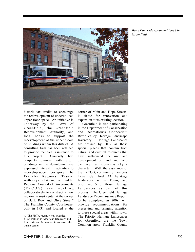

*Bank Row redevelopment block in Greenfield* 

historic tax credits to encourage the redevelopment of underutilized upper floor space. An initiative is underway by the Town of Greenfield, the Greenfield Redevelopment Authority, and local banks to support the redevelopment of the upper floors of buildings within this district. A consulting firm has been retained to provide technical assistance to this project. Currently, five property owners with eight buildings in the downtown have expressed interest in activities to redevelop upper floor space. The Franklin Regional Transit Authority (FRTA) and the Franklin Regional Council of Governments  $(FRCOG)$  are working collaboratively to construct a new regional transit center at the corner of Bank Row and Olive Street.<sup>4</sup> The Franklin County Courthouse, built in 1931 and located at the

corner of Main and Hope Streets, is slated for renovation and expansion at its existing location.

Greenfield is also participating in the Department of Conservation and Recreation's Connecticut River Valley Heritage Landscape Inventory. Heritage Landscapes are defined by DCR as those special places that contain both natural and cultural resources that have influenced the use and development of land and help de fine a community's character. With the assistance of the FRCOG, community members have identified 33 heritage landscapes within Town, and prioritized 5 of those Heritage Landscapes as part of this process. The Greenfield Heritage Landscape Reconnaissance Report, to be completed in 2009, will provide recommendations for preserving and bringing attention to these special areas within town. The Priority Heritage Landscapes for Greenfield are the Town Common area; Franklin County

<sup>4.</sup> The FRTA recently was awarded

<sup>\$12.8</sup> million in American Recovery and Reinvestment Act monies to construct the transit center.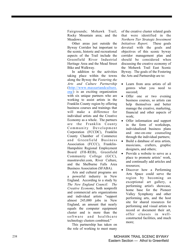Fairgrounds; Mohawk Trail; Rocky Mountain area; and the Meadows.

Other areas just outside the Byway Corridor but important to the scenic, historic and recreational aspects of the Trail include the Greenfield River Industrial Heritage Area and the Mead Street Bike and Walkway.

In addition to the activities taking place within the towns along the Byway the *Fostering the Arts and Culture Partnership* (http://www.massartandculture. org/) is an exciting organization with six unique partners who are working to assist artists in the Franklin County region by offering business courses and trainings that will make a difference for individual artists and the Creative Economy as a whole. The partners are the Franklin County Community Development Corporation (FCCDC), Franklin County Chamber of Commerce and Greenfield Business Association (FCCC), Franklin-Hampshire Regional Employment Board (FH-REB), Greenfield Community College (GCC), masstraveler.com, River Culture, and the Shelburne Falls Area Business Association (SFABA).

Arts and cultural programs are a powerful industry in New England. According to a study by *The New England Council: The Creative Economy*, both nonprofit and commercial arts organizations and individual artists "support almost 245,000 jobs in New England, an amount that nearly equals the computer equipment cluster and is more than the s of tware and healthcare technology clusters combined."

This partnership has taken on the role of working to meet many

of the creative cluster related goals that were identified in the *Northern Tier Strategic Investment Initiatives Report*. These goals dovetail with the goals and objectives of this scenic byway corridor management plan and should be considered when discussing the creative economy of the Mohawk Trail East Scenic Byway. The goals of the Fostering the Arts and Partnership are to:

- Learn from area artists of all genres what you need to succeed;
- Offer one or two evening business courses, so artists can help themselves and better manage the creative, marketing, financial and other aspects of work;
- Offer information and support in the form of workshops, individualized business plans and one-on-one counseling through the individual partners;
- Build a database of area artists, musicians, crafters, graphic designers, and others;
- Provide a website to serve as a place to promote artists' work, and continually add articles and resources;
- Discover how a Performing Arts Space could serve the region by becoming an exceptional art gallery, a performing artist's showcase, home base for the Pioneer Valley Symphony and other performing arts, and the host site for shared resources for performing and visual artists to record or document their art, offer classes in wellconstructed facilities, and much more;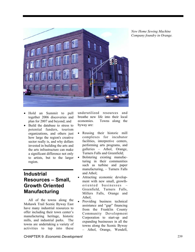

*New Home Sewing Machine Company foundry in Orange.* 

- Hold an Summit to pull together 2006 discoveries and plan for 2007 and beyond; and
- Build the database to stress to potential funders, tourism organizations, and others just how large the region's creative sector really is, and why dollars invested in building the arts and the arts infrastructure can make a significant difference not only to artists, but to the larger region.

## **Industrial Resources – Small, Growth Oriented Manufacturing**

All of the towns along the Mohawk Trail Scenic Byway East have many industrial resources to offer including their town center's manufacturing heritage, historic mills, and industrial parks. The towns are undertaking a variety of activities to tap into these

underutilized resources and breathe new life into their local economies. Towns along the byway are:

- Reusing their historic mill complexes for incubator facilities, interpretive centers, performing arts programs, and galleries – Athol, Orange, Turners Falls and Greenfield;
- Bolstering existing manufacturing in their communities such as turbine and paper manufacturing, – Turners Falls and Athol;
- Attracting economic development with new small, growthoriented businesses Greenfield, Turners Falls, Millers Falls, Orange and Athol;
- Providing business technical assistance and "gap" financing from the Franklin County Community Development Corporation to start-up and expanding businesses in all the towns along the Scenic Byway – Athol, Orange, Wendell,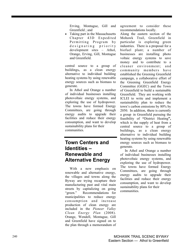Erving, Montague, Gill and Greenfield ; and

• Taking part in the Massachusetts Chapter 43D Expedited Permitting Program by designating priority development sites – Athol, Orange, Erving, Gill, Montague and Greenfield.

central source to a group of buildings**,** as a clean energy alternative to individual building heating systems by using renewable energy sources such as biomass to generate.

In Athol and Orange a number of individual businesses installing photovoltaic energy systems, and exploring the use of hydropower. The towns have formed Energy Committees, are going through energy audits to upgrade their facilities and reduce their energy consumption, and want to develop sustainability plans for their communities.

## **Town Centers and Identities – Renewable and Alternative Energy**

With a new emphasis on renewable and alternative energy, the villages and towns along the Byway are trying recapture their manufacturing past and vital main streets by capitalizing on going "green." Recommendations for municipalities to reduce energy consumption and increase production of clean energy are included in the *Pioneer Valley Clean Energy Plan* (2008). Orange, Wendell, Montague, Gill and Greenfield have signed on to the plan through a memorandum of agreement to consider these recommendations locally.

Along the eastern section of the Mohawk Trail, Greenfield in particular is exploring green industries. There is a proposal for a biofuel plant; a number of businesses are installing photo voltaic energy systems to save money and to contribute to a cleaner environment; and community members have established the Greening Greenfield campaign, a collaborative effort of the Greening Greenfield Energy Committee (GGEC) and the Town of Greenfield to build a sustainable Greenfield. They are working with ICLEI to write and implement a sustainability plan to reduce the town's carbon emissions by 80% by 2050. In addition, **t**here is currently a group in Greenfield pursuing the feasibility of **"**District Heating**",**  which is the supply of heat from a central source to a group of buildings**,** as a clean energy alternative to individual building heating systems by using renewable energy sources such as biomass to generate.

In Athol and Orange a number of individual businesses installing photovoltaic energy systems, and exploring the use of hydropower. The towns have formed Energy Committees, are going through energy audits to upgrade their facilities and reduce their energy consumption, and want to develop sustainability plans for their communities.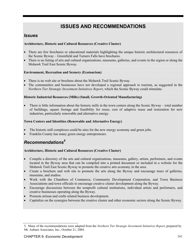## **ISSUES AND RECOMMENDATIONS**

#### *Issues*

#### **Architecture, Historic and Cultural Resources (Creative Cluster)**

- There are few brochures or educational materials highlighting the unique historic architectural resources of the Scenic Byway – Greenfield and Turners Falls have brochures.
- There is no listing of arts and cultural organizations, museums, galleries, and events in the region or along the Mohawk Trail East Scenic Byway.

#### **Environment, Recreation and Scenery (Ecotourism)**

- There is no web site or brochure about the Mohawk Trail Scenic Byway.
- The communities and businesses have not developed a regional approach to tourism, as suggested in the *Northern Tier Strategic Investment Initiatives Report*, which the Scenic Byway could stimulate.

#### **Historic Industrial Resources (Mills) (Small, Growth-Oriented Manufacturing)**

• There is little information about the historic mills in the town centers along the Scenic Byway – total number of buildings, square footage and feasibility for reuse, cost of adaptive reuse and restoration for new industries, particularly renewable and alternative energy.

#### **Town Centers and Identities (Renewable and Alternative Energy)**

- The historic mill complexes could be sites for the new energy economy and green jobs.
- Franklin County has many green energy entrepreneurs.

### *Recommendations<sup>5</sup>*

#### **Architecture, Historic and Cultural Resources (Creative Cluster)**

- Compile a directory of the arts and cultural organizations, museums, gallery, artists, performers, and events located in the Byway area that can be compiled into a printed document or included in a website for the Mohawk Trail East Scenic Byway to promote the creative arts economy in the area.
- Create a brochure and web site to promote the arts along the Byway and encourage tours of galleries, museums, and studios.
- Work with the Chambers of Commerce, Community Development Corporation, and Town Business Associations and town officials to encourage creative cluster development along the Byway.
- Encourage discussions between the nonprofit cultural institutions, individual artists and performers, and creative businesses operating along the Byway.
- Promote artisan and crafts related business development.
- Capitalize on the synergies between the creative cluster and other economic sectors along the Scenic Byway.

<sup>5.</sup> Many of the recommendations were adapted from the *Northern Tier Strategic Investment Initiatives Report*, prepared by Mt. Auburn Associates, Inc., October 21, 2004.